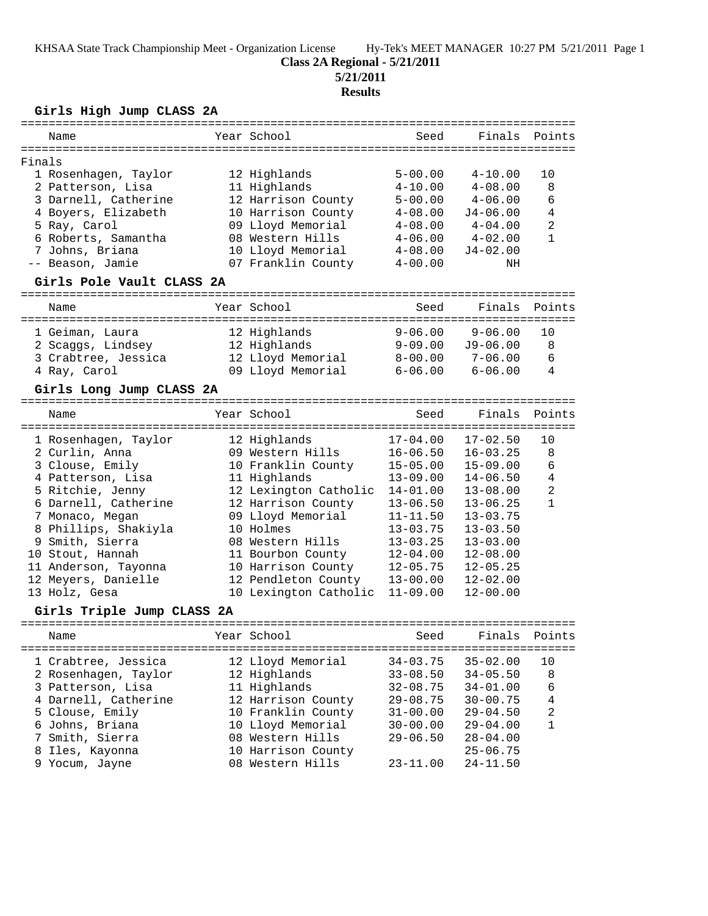KHSAA State Track Championship Meet - Organization License Hy-Tek's MEET MANAGER 10:27 PM 5/21/2011 Page 1

# **Class 2A Regional - 5/21/2011**

**5/21/2011**

### **Results**

### **Girls High Jump CLASS 2A**

|        | Name                      | Year School           | Seed         | Finals       | Points         |
|--------|---------------------------|-----------------------|--------------|--------------|----------------|
| Finals |                           |                       |              |              |                |
|        | 1 Rosenhagen, Taylor      | 12 Highlands          | $5 - 00.00$  | $4 - 10.00$  | 10             |
|        | 2 Patterson, Lisa         | 11 Highlands          | $4 - 10.00$  | $4 - 08.00$  | $\,8\,$        |
|        | 3 Darnell, Catherine      | 12 Harrison County    | $5 - 00.00$  | $4 - 06.00$  | $\epsilon$     |
|        | 4 Boyers, Elizabeth       | 10 Harrison County    | $4 - 08.00$  | $J4 - 06.00$ | $\overline{4}$ |
|        | 5 Ray, Carol              | 09 Lloyd Memorial     | $4 - 08.00$  | $4 - 04.00$  | $\overline{2}$ |
|        | 6 Roberts, Samantha       | 08 Western Hills      | $4 - 06.00$  | $4 - 02.00$  | $\mathbf{1}$   |
|        | 7 Johns, Briana           | 10 Lloyd Memorial     | $4 - 08.00$  | $J4 - 02.00$ |                |
|        | -- Beason, Jamie          | 07 Franklin County    | $4 - 00.00$  | NH           |                |
|        | Girls Pole Vault CLASS 2A |                       |              |              |                |
|        |                           |                       |              |              |                |
|        | Name                      | Year School           | Seed         | Finals       | Points         |
|        | 1 Geiman, Laura           | 12 Highlands          | $9 - 06.00$  | $9 - 06.00$  | 10             |
|        | 2 Scaggs, Lindsey         | 12 Highlands          | $9 - 09.00$  | $J9 - 06.00$ | 8              |
|        | 3 Crabtree, Jessica       | 12 Lloyd Memorial     | $8 - 00.00$  | $7 - 06.00$  | 6              |
|        | 4 Ray, Carol              | 09 Lloyd Memorial     | $6 - 06.00$  | $6 - 06.00$  | 4              |
|        |                           |                       |              |              |                |
|        | Girls Long Jump CLASS 2A  |                       |              |              |                |
|        | Name                      | Year School           | Seed         | Finals       | Points         |
|        | 1 Rosenhagen, Taylor      | 12 Highlands          | $17 - 04.00$ | $17 - 02.50$ | 10             |
|        | 2 Curlin, Anna            | 09 Western Hills      | $16 - 06.50$ | $16 - 03.25$ | 8              |
|        | 3 Clouse, Emily           | 10 Franklin County    | $15 - 05.00$ | $15 - 09.00$ | 6              |
|        | 4 Patterson, Lisa         | 11 Highlands          | $13 - 09.00$ | $14 - 06.50$ | 4              |
|        | 5 Ritchie, Jenny          | 12 Lexington Catholic | $14 - 01.00$ | $13 - 08.00$ | $\overline{a}$ |
|        | 6 Darnell, Catherine      | 12 Harrison County    | $13 - 06.50$ | $13 - 06.25$ | $\mathbf{1}$   |
|        | 7 Monaco, Megan           | 09 Lloyd Memorial     | $11 - 11.50$ | $13 - 03.75$ |                |
|        | 8 Phillips, Shakiyla      | 10 Holmes             | $13 - 03.75$ | $13 - 03.50$ |                |
|        | 9 Smith, Sierra           | 08 Western Hills      | $13 - 03.25$ | $13 - 03.00$ |                |
|        | 10 Stout, Hannah          | 11 Bourbon County     | $12 - 04.00$ | $12 - 08.00$ |                |

### **Girls Triple Jump CLASS 2A**

| Name                                                                                                                                                                 | Year School                                                                                                                                                  | Seed                                                                                                         | Finals Points                                                                                                                |                              |
|----------------------------------------------------------------------------------------------------------------------------------------------------------------------|--------------------------------------------------------------------------------------------------------------------------------------------------------------|--------------------------------------------------------------------------------------------------------------|------------------------------------------------------------------------------------------------------------------------------|------------------------------|
| 1 Crabtree, Jessica<br>2 Rosenhagen, Taylor<br>3 Patterson, Lisa<br>4 Darnell, Catherine<br>5 Clouse, Emily<br>6 Johns, Briana<br>7 Smith, Sierra<br>8 Iles, Kayonna | 12 Lloyd Memorial<br>12 Highlands<br>11 Highlands<br>12 Harrison County<br>10 Franklin County<br>10 Lloyd Memorial<br>08 Western Hills<br>10 Harrison County | $34 - 03.75$<br>$33 - 08.50$<br>$32 - 08.75$<br>$29 - 08.75$<br>$31 - 00.00$<br>$30 - 00.00$<br>$29 - 06.50$ | $35 - 02.00$<br>$34 - 05.50$<br>$34 - 01.00$<br>$30 - 00.75$<br>$29 - 04.50$<br>$29 - 04.00$<br>$28 - 04.00$<br>$25 - 06.75$ | 1 O<br>8<br>6<br>4<br>2<br>1 |
| 9 Yocum, Jayne                                                                                                                                                       | 08 Western Hills                                                                                                                                             | $23 - 11.00$                                                                                                 | $24 - 11.50$                                                                                                                 |                              |
|                                                                                                                                                                      |                                                                                                                                                              |                                                                                                              |                                                                                                                              |                              |

 11 Anderson, Tayonna 10 Harrison County 12-05.75 12-05.25 12 Meyers, Danielle 12 Pendleton County 13-00.00 12-02.00 13 Holz, Gesa 10 Lexington Catholic 11-09.00 12-00.00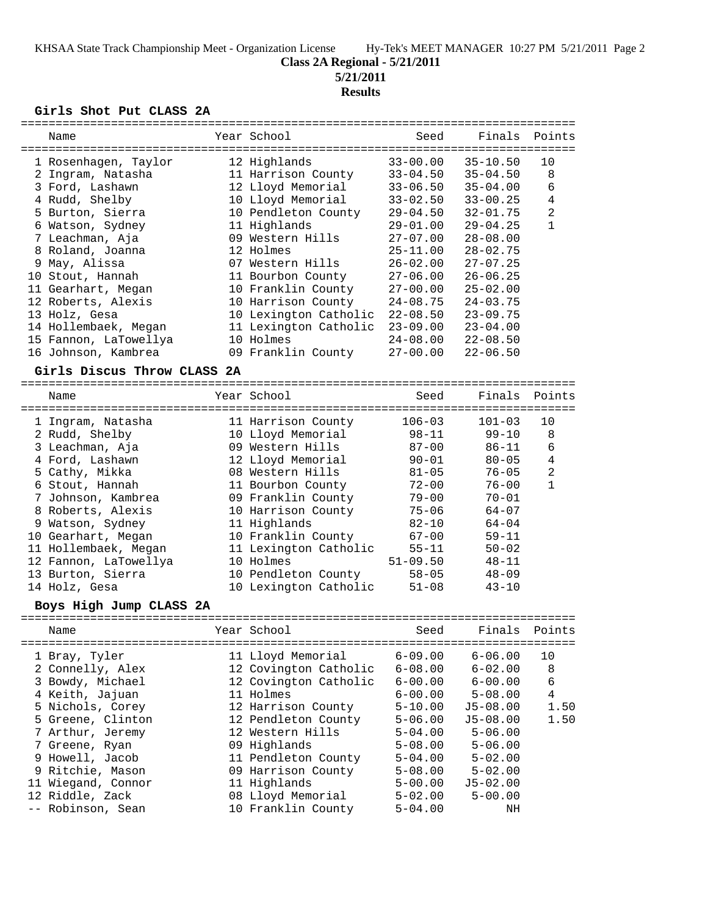KHSAA State Track Championship Meet - Organization License Hy-Tek's MEET MANAGER 10:27 PM 5/21/2011 Page 2

# **Class 2A Regional - 5/21/2011**

**5/21/2011**

# **Results**

#### **Girls Shot Put CLASS 2A**

| ============                      |                                            | ------------- |              |                |
|-----------------------------------|--------------------------------------------|---------------|--------------|----------------|
| Name                              | Year School                                | Seed          | Finals       | Points         |
|                                   |                                            |               |              |                |
| 1 Rosenhagen, Taylor              | 12 Highlands                               | $33 - 00.00$  | $35 - 10.50$ | 10             |
| 2 Ingram, Natasha                 | 11 Harrison County                         | $33 - 04.50$  | $35 - 04.50$ | 8              |
| 3 Ford, Lashawn                   | 12 Lloyd Memorial                          | $33 - 06.50$  | $35 - 04.00$ | 6              |
| 4 Rudd, Shelby                    | 10 Lloyd Memorial                          | $33 - 02.50$  | $33 - 00.25$ | 4              |
| 5 Burton, Sierra                  | 10 Pendleton County                        | $29 - 04.50$  | $32 - 01.75$ | $\overline{2}$ |
| 6 Watson, Sydney                  | 11 Highlands                               | $29 - 01.00$  | $29 - 04.25$ | $\mathbf{1}$   |
| 7 Leachman, Aja                   | 09 Western Hills                           | $27 - 07.00$  | $28 - 08.00$ |                |
| 8 Roland, Joanna                  | 12 Holmes                                  | $25 - 11.00$  | $28 - 02.75$ |                |
| 9 May, Alissa                     | 07 Western Hills                           | $26 - 02.00$  | $27 - 07.25$ |                |
| 10 Stout, Hannah                  | 11 Bourbon County                          | $27 - 06.00$  | $26 - 06.25$ |                |
| 11 Gearhart, Megan                | 10 Franklin County                         | $27 - 00.00$  | $25 - 02.00$ |                |
| 12 Roberts, Alexis                | 10 Harrison County                         | $24 - 08.75$  | $24 - 03.75$ |                |
| 13 Holz, Gesa                     | 10 Lexington Catholic                      | $22 - 08.50$  | $23 - 09.75$ |                |
| 14 Hollembaek, Megan              | 11 Lexington Catholic                      | $23 - 09.00$  | $23 - 04.00$ |                |
| 15 Fannon, LaTowellya             | 10 Holmes                                  | $24 - 08.00$  | $22 - 08.50$ |                |
| 16 Johnson, Kambrea               | 09 Franklin County                         | $27 - 00.00$  | $22 - 06.50$ |                |
| Girls Discus Throw CLASS 2A       |                                            |               |              |                |
| Name                              | Year School                                | Seed          | Finals       | Points         |
| =====================             |                                            |               |              |                |
| 1 Ingram, Natasha                 | 11 Harrison County                         | $106 - 03$    | $101 - 03$   | 10             |
| 2 Rudd, Shelby                    | 10 Lloyd Memorial                          | $98 - 11$     | $99 - 10$    | 8              |
| 3 Leachman, Aja                   | 09 Western Hills                           | $87 - 00$     | $86 - 11$    | 6              |
| 4 Ford, Lashawn                   | 12 Lloyd Memorial                          | $90 - 01$     | $80 - 05$    | 4              |
| 5 Cathy, Mikka                    | 08 Western Hills                           | $81 - 05$     | $76 - 05$    | $\overline{a}$ |
| 6 Stout, Hannah                   | 11 Bourbon County                          | $72 - 00$     | $76 - 00$    | $\mathbf{1}$   |
| 7 Johnson, Kambrea                | 09 Franklin County                         | $79 - 00$     | $70 - 01$    |                |
| 8 Roberts, Alexis                 | 10 Harrison County                         | $75 - 06$     | $64 - 07$    |                |
| 9 Watson, Sydney                  | 11 Highlands                               | $82 - 10$     | $64 - 04$    |                |
| 10 Gearhart, Megan                | 10 Franklin County                         | $67 - 00$     | $59 - 11$    |                |
| 11 Hollembaek, Megan              | 11 Lexington Catholic                      | $55 - 11$     | $50 - 02$    |                |
| 12 Fannon, LaTowellya             | 10 Holmes                                  | $51 - 09.50$  | $48 - 11$    |                |
| 13 Burton, Sierra                 | 10 Pendleton County                        | $58 - 05$     | $48 - 09$    |                |
| 14 Holz, Gesa                     | 10 Lexington Catholic                      | $51 - 08$     | $43 - 10$    |                |
| Boys High Jump CLASS 2A           |                                            |               |              |                |
| Name                              | Year School                                | Seed          | Finals       | Points         |
|                                   |                                            | $6 - 09.00$   | $6 - 06.00$  | 10             |
| 1 Bray, Tyler<br>2 Connelly, Alex | 11 Lloyd Memorial<br>12 Covington Catholic | $6 - 08.00$   | $6 - 02.00$  | 8              |
| 3 Bowdy, Michael                  | 12 Covington Catholic                      | $6 - 00.00$   | $6 - 00.00$  | 6              |
| 4 Keith, Jajuan                   | 11 Holmes                                  | $6 - 00.00$   | $5 - 08.00$  | 4              |
| 5 Nichols, Corey                  | 12 Harrison County                         | $5 - 10.00$   | $J5 - 08.00$ | 1.50           |
| 5 Greene, Clinton                 | 12 Pendleton County                        | $5 - 06.00$   | $J5 - 08.00$ | 1.50           |
| 7 Arthur, Jeremy                  | 12 Western Hills                           | $5 - 04.00$   | $5 - 06.00$  |                |
| 7 Greene, Ryan                    | 09 Highlands                               | $5 - 08.00$   | $5 - 06.00$  |                |
| 9 Howell, Jacob                   | 11 Pendleton County                        | $5 - 04.00$   | $5 - 02.00$  |                |
| 9 Ritchie, Mason                  | 09 Harrison County                         | $5 - 08.00$   | $5 - 02.00$  |                |
| 11 Wiegand, Connor                | 11 Highlands                               | $5 - 00.00$   | $J5 - 02.00$ |                |
| 12 Riddle, Zack                   | 08 Lloyd Memorial                          | $5 - 02.00$   | $5 - 00.00$  |                |
| -- Robinson, Sean                 | 10 Franklin County                         | $5 - 04.00$   | ΝH           |                |
|                                   |                                            |               |              |                |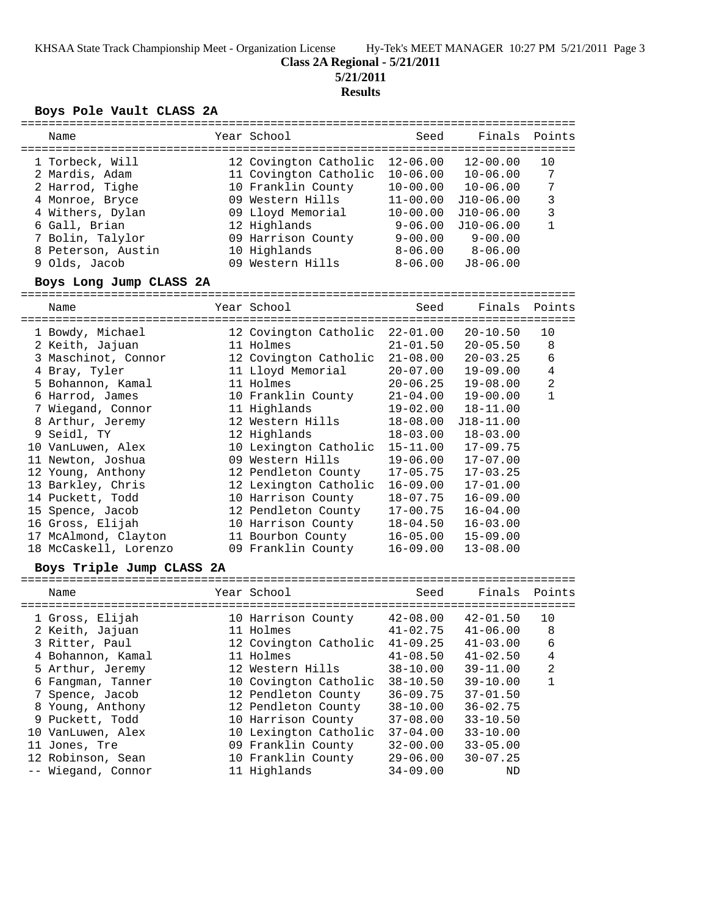KHSAA State Track Championship Meet - Organization License Hy-Tek's MEET MANAGER 10:27 PM 5/21/2011 Page 3

#### **Class 2A Regional - 5/21/2011**

**5/21/2011**

**Results**

#### **Boys Pole Vault CLASS 2A**

| Name                                   | Year School                                 | Seed                         | Finals Points                |        |
|----------------------------------------|---------------------------------------------|------------------------------|------------------------------|--------|
| 1 Torbeck, Will                        | 12 Covington Catholic                       | $12 - 06.00$                 | $12 - 00.00$                 | 10     |
| 2 Mardis, Adam<br>2 Harrod, Tighe      | 11 Covington Catholic<br>10 Franklin County | $10 - 06.00$<br>$10 - 00.00$ | $10 - 06.00$<br>$10 - 06.00$ | 7<br>7 |
| 4 Monroe, Bryce                        | 09 Western Hills                            | $11 - 00.00$                 | $J10-06.00$                  | 3      |
| 4 Withers, Dylan                       | 09 Lloyd Memorial                           | $10 - 00.00$                 | $J10-06.00$                  | 3      |
| 6 Gall, Brian                          | 12 Highlands                                | $9 - 06.00$                  | $J10-06.00$<br>$9 - 00.00$   |        |
| 7 Bolin, Talylor<br>8 Peterson, Austin | 09 Harrison County<br>10 Highlands          | $9 - 00.00$<br>$8 - 06.00$   | $8 - 06.00$                  |        |
| 9 Olds, Jacob                          | 09 Western Hills                            | $8 - 06.00$                  | $J8 - 06.00$                 |        |
|                                        |                                             |                              |                              |        |

#### **Boys Long Jump CLASS 2A**

================================================================================ Name Year School Seed Finals Points ================================================================================ 1 Bowdy, Michael 12 Covington Catholic 22-01.00 20-10.50 10 2 Keith, Jajuan 11 Holmes 21-01.50 20-05.50 8 3 Maschinot, Connor 12 Covington Catholic 21-08.00 20-03.25 6 4 Bray, Tyler 11 Lloyd Memorial 20-07.00 19-09.00 4 5 Bohannon, Kamal 11 Holmes 20-06.25 19-08.00 2 6 Harrod, James 10 Franklin County 21-04.00 19-00.00 1 7 Wiegand, Connor 11 Highlands 19-02.00 18-11.00 8 Arthur, Jeremy 12 Western Hills 18-08.00 J18-11.00 9 Seidl, TY 12 Highlands 18-03.00 18-03.00 10 VanLuwen, Alex 10 Lexington Catholic 15-11.00 17-09.75 11 Newton, Joshua 09 Western Hills 19-06.00 17-07.00 12 Young, Anthony 12 Pendleton County 17-05.75 17-03.25 13 Barkley, Chris 12 Lexington Catholic 16-09.00 17-01.00 14 Puckett, Todd 10 Harrison County 18-07.75 16-09.00 15 Spence, Jacob 12 Pendleton County 17-00.75 16-04.00 16 Gross, Elijah 10 Harrison County 18-04.50 16-03.00 17 McAlmond, Clayton 11 Bourbon County 16-05.00 15-09.00 18 McCaskell, Lorenzo 09 Franklin County 16-09.00 13-08.00

#### **Boys Triple Jump CLASS 2A**

| Name               | Year School           | Seed         | Finals Points |                |
|--------------------|-----------------------|--------------|---------------|----------------|
|                    |                       |              |               |                |
| 1 Gross, Elijah    | 10 Harrison County    | $42 - 08.00$ | $42 - 01.50$  | 10             |
| 2 Keith, Jajuan    | 11 Holmes             | $41 - 02.75$ | $41 - 06.00$  | 8              |
| 3 Ritter, Paul     | 12 Covington Catholic | $41 - 09.25$ | $41 - 03.00$  | 6              |
| 4 Bohannon, Kamal  | 11 Holmes             | $41 - 08.50$ | $41 - 02.50$  | 4              |
| 5 Arthur, Jeremy   | 12 Western Hills      | $38 - 10.00$ | $39 - 11.00$  | $\overline{2}$ |
| 6 Fangman, Tanner  | 10 Covington Catholic | $38 - 10.50$ | $39 - 10.00$  |                |
| 7 Spence, Jacob    | 12 Pendleton County   | $36 - 09.75$ | $37 - 01.50$  |                |
| 8 Young, Anthony   | 12 Pendleton County   | $38 - 10.00$ | $36 - 02.75$  |                |
| 9 Puckett, Todd    | 10 Harrison County    | $37 - 08.00$ | $33 - 10.50$  |                |
| 10 VanLuwen, Alex  | 10 Lexington Catholic | $37 - 04.00$ | $33 - 10.00$  |                |
| 11 Jones, Tre      | 09 Franklin County    | $32 - 00.00$ | $33 - 05.00$  |                |
| 12 Robinson, Sean  | 10 Franklin County    | $29 - 06.00$ | $30 - 07.25$  |                |
| -- Wiegand, Connor | 11 Highlands          | $34 - 09.00$ | ND            |                |